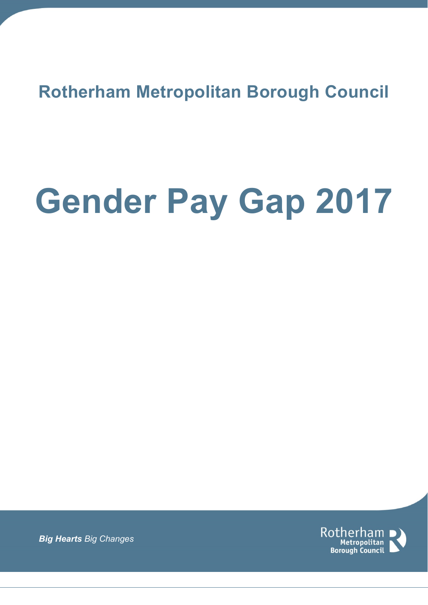**Rotherham Metropolitan Borough Council**

# **Gender Pay Gap 2017**



*Big Hearts Big Changes*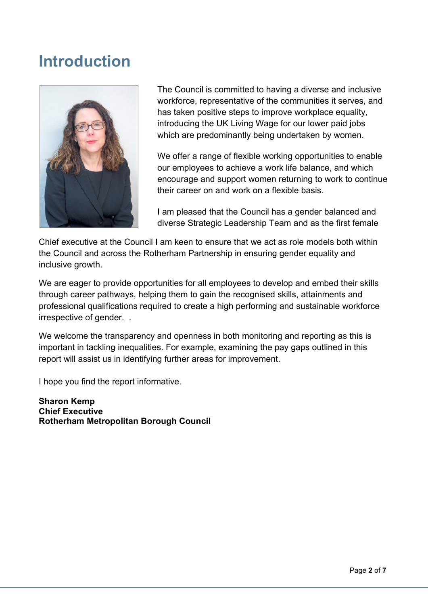### **Introduction**



The Council is committed to having a diverse and inclusive workforce, representative of the communities it serves, and has taken positive steps to improve workplace equality, introducing the UK Living Wage for our lower paid jobs which are predominantly being undertaken by women.

We offer a range of flexible working opportunities to enable our employees to achieve a work life balance, and which encourage and support women returning to work to continue their career on and work on a flexible basis.

I am pleased that the Council has a gender balanced and diverse Strategic Leadership Team and as the first female

Chief executive at the Council I am keen to ensure that we act as role models both within the Council and across the Rotherham Partnership in ensuring gender equality and inclusive growth.

We are eager to provide opportunities for all employees to develop and embed their skills through career pathways, helping them to gain the recognised skills, attainments and professional qualifications required to create a high performing and sustainable workforce irrespective of gender. .

We welcome the transparency and openness in both monitoring and reporting as this is important in tackling inequalities. For example, examining the pay gaps outlined in this report will assist us in identifying further areas for improvement.

I hope you find the report informative.

**Sharon Kemp Chief Executive Rotherham Metropolitan Borough Council**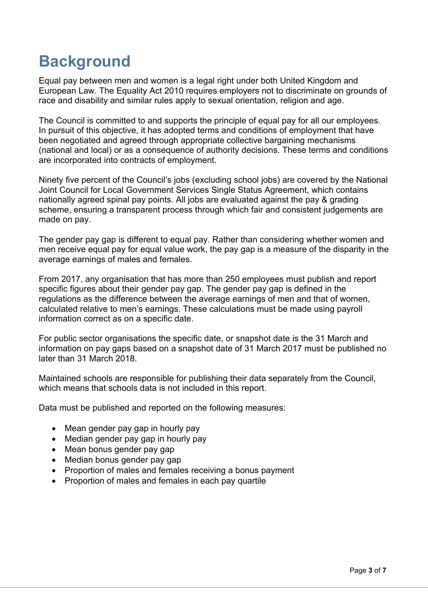## **Background**

Equal pay between men and women is a legal right under both United Kingdom and European Law. The Equality Act 2010 requires employers not to discriminate on grounds of race and disability and similar rules apply to sexual orientation, religion and age.

The Council is committed to and supports the principle of equal pay for all our employees. In pursuit of this objective, it has adopted terms and conditions of employment that have been negotiated and agreed through appropriate collective bargaining mechanisms (national and local) or as a consequence of authority decisions. These terms and conditions are incorporated into contracts of employment.

Ninety five percent of the Council's jobs (excluding school jobs) are covered by the National Joint Council for Local Government Services Single Status Agreement, which contains nationally agreed spinal pay points. All jobs are evaluated against the pay & grading scheme, ensuring a transparent process through which fair and consistent judgements are made on pay.

The gender pay gap is different to equal pay. Rather than considering whether women and men receive equal pay for equal value work, the pay gap is a measure of the disparity in the average earnings of males and females.

From 2017, any organisation that has more than 250 employees must publish and report specific figures about their gender pay gap. The gender pay gap is defined in the regulations as the difference between the average earnings of men and that of women, calculated relative to men's earnings. These calculations must be made using payroll information correct as on a specific date.

For public sector organisations the specific date, or snapshot date is the 31 March and information on pay gaps based on a snapshot date of 31 March 2017 must be published no later than 31 March 2018.

Maintained schools are responsible for publishing their data separately from the Council, which means that schools data is not included in this report.

Data must be published and reported on the following measures:

- Mean gender pay gap in hourly pay
- Median gender pay gap in hourly pay
- Mean bonus gender pay gap
- Median bonus gender pay gap
- Proportion of males and females receiving a bonus payment
- Proportion of males and females in each pay quartile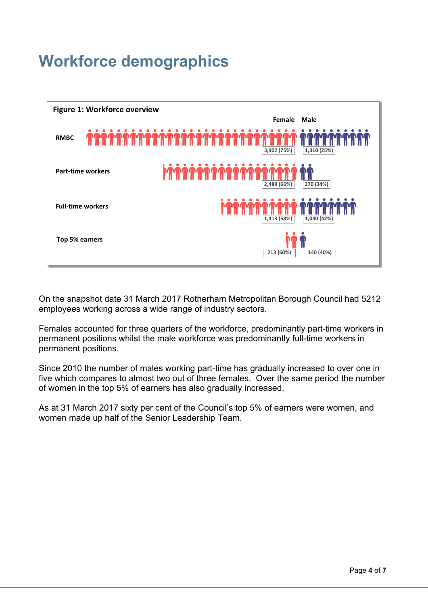## **Workforce demographics**



On the snapshot date 31 March 2017 Rotherham Metropolitan Borough Council had 5212 employees working across a wide range of industry sectors.

Females accounted for three quarters of the workforce, predominantly part-time workers in permanent positions whilst the male workforce was predominantly full-time workers in permanent positions.

Since 2010 the number of males working part-time has gradually increased to over one in five which compares to almost two out of three females. Over the same period the number of women in the top 5% of earners has also gradually increased.

As at 31 March 2017 sixty per cent of the Council's top 5% of earners were women, and women made up half of the Senior Leadership Team.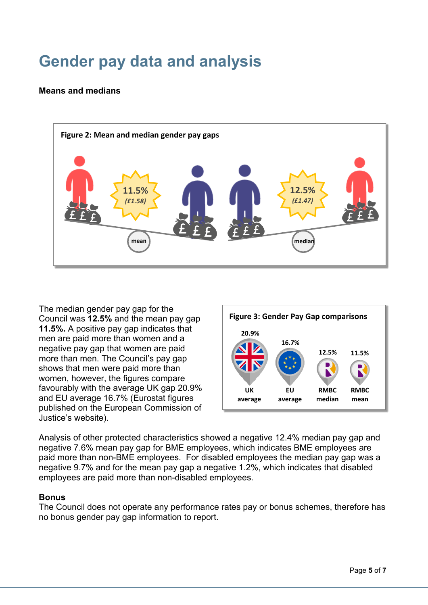# **Gender pay data and analysis**

#### **Means and medians**



The median gender pay gap for the Council was **12.5%** and the mean pay gap **11.5%.** A positive pay gap indicates that men are paid more than women and a negative pay gap that women are paid more than men. The Council's pay gap shows that men were paid more than women, however, the figures compare favourably with the average UK gap 20.9% and EU average 16.7% (Eurostat figures published on the European Commission of Justice's website).



Analysis of other protected characteristics showed a negative 12.4% median pay gap and negative 7.6% mean pay gap for BME employees, which indicates BME employees are paid more than non-BME employees. For disabled employees the median pay gap was a negative 9.7% and for the mean pay gap a negative 1.2%, which indicates that disabled employees are paid more than non-disabled employees.

#### **Bonus**

The Council does not operate any performance rates pay or bonus schemes, therefore has no bonus gender pay gap information to report.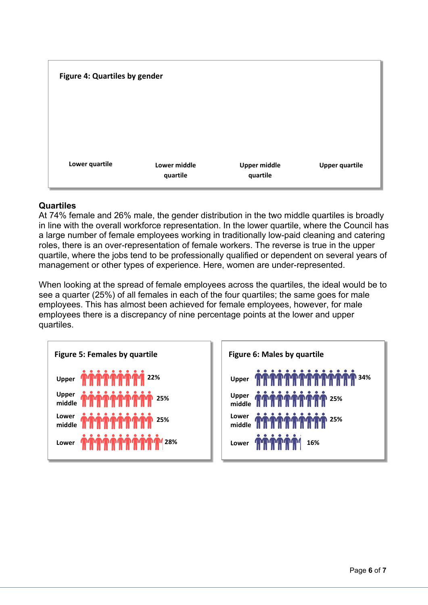

#### **Quartiles**

At 74% female and 26% male, the gender distribution in the two middle quartiles is broadly in line with the overall workforce representation. In the lower quartile, where the Council has a large number of female employees working in traditionally low-paid cleaning and catering roles, there is an over-representation of female workers. The reverse is true in the upper quartile, where the jobs tend to be professionally qualified or dependent on several years of management or other types of experience. Here, women are under-represented.

When looking at the spread of female employees across the quartiles, the ideal would be to see a quarter (25%) of all females in each of the four quartiles; the same goes for male employees. This has almost been achieved for female employees, however, for male employees there is a discrepancy of nine percentage points at the lower and upper quartiles.